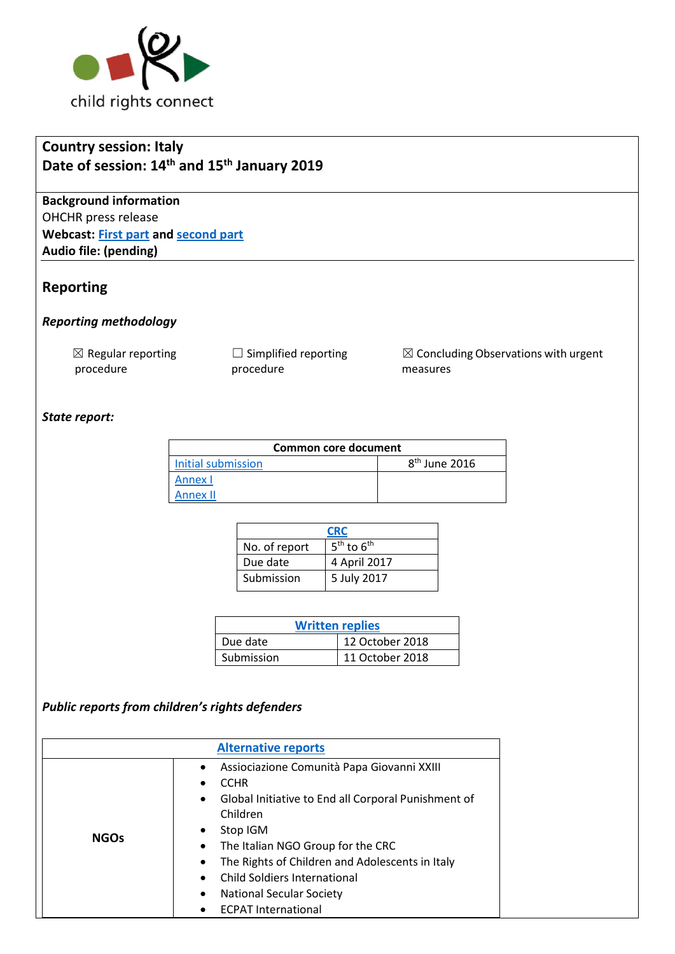

# **Country session: Italy Date of session: 14th and 15th January 2019**

**Background information** OHCHR press release **Webcast: [First part](http://webtv.un.org/search/consideration-of-italy-2354th-meeting-80th-session-committee-on-the-rights-of-the-child/5992733589001/?term=&lan=english&cat=Treaty%20Bodies&sort=date&page=1) and [second part](http://webtv.un.org/search/consideration-of-italy-contd-2355th-meeting-80th-session-committee-on-the-rights-of-the-child/5992936409001/?term=&lan=english&cat=Treaty%20Bodies&sort=date&page=1) Audio file: (pending)**

### **Reporting**

#### *Reporting methodology*

 $\boxtimes$  Regular reporting procedure

 $\Box$  Simplified reporting procedure

☒ Concluding Observations with urgent measures

### *State report:*

| Common core document |                           |  |  |
|----------------------|---------------------------|--|--|
| Initial submission   | 8 <sup>th</sup> June 2016 |  |  |
| Annex I              |                           |  |  |
| Annex II             |                           |  |  |

| <b>CRC</b>    |                |
|---------------|----------------|
| No. of report | $5th$ to $6th$ |
| Due date      | 4 April 2017   |
| Submission    | 5 July 2017    |

| <b>Written replies</b> |                 |  |
|------------------------|-----------------|--|
| Due date               | 12 October 2018 |  |
| Submission             | 11 October 2018 |  |

### *Public reports from children's rights defenders*

| <b>Alternative reports</b> |                                                                                                                                                                                                                                                                                                                                                                                                           |  |
|----------------------------|-----------------------------------------------------------------------------------------------------------------------------------------------------------------------------------------------------------------------------------------------------------------------------------------------------------------------------------------------------------------------------------------------------------|--|
| <b>NGOs</b>                | Assiociazione Comunità Papa Giovanni XXIII<br><b>CCHR</b><br>Global Initiative to End all Corporal Punishment of<br>$\bullet$<br>Children<br>Stop IGM<br>The Italian NGO Group for the CRC<br>$\bullet$<br>The Rights of Children and Adolescents in Italy<br>$\bullet$<br><b>Child Soldiers International</b><br>$\bullet$<br><b>National Secular Society</b><br>$\bullet$<br><b>ECPAT International</b> |  |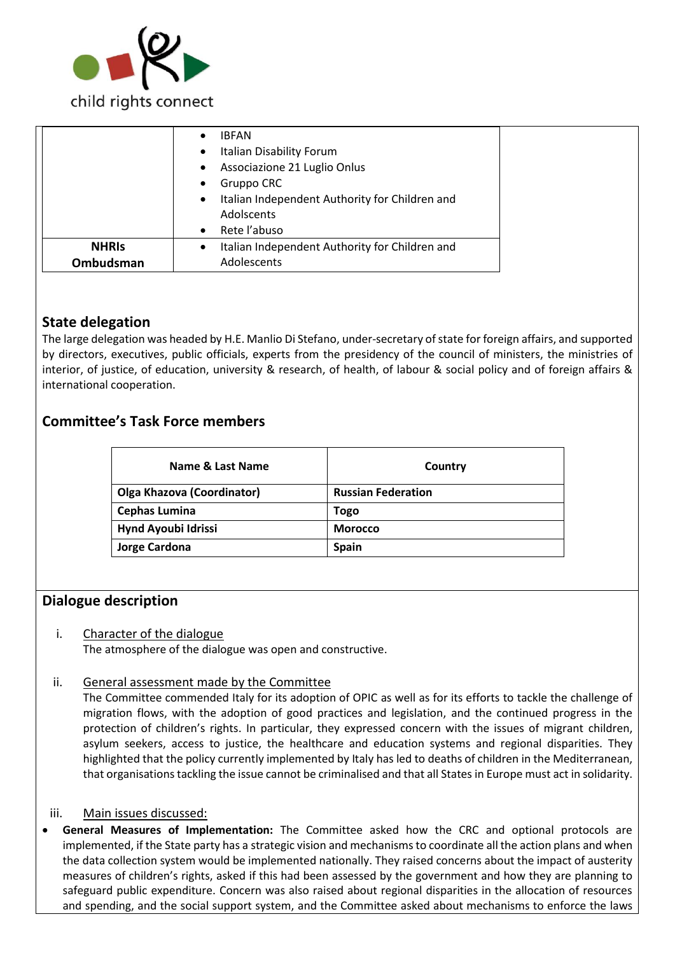

|              | <b>IBFAN</b><br>$\bullet$<br>Italian Disability Forum<br>$\bullet$<br>Associazione 21 Luglio Onlus<br>$\bullet$<br>Gruppo CRC<br>$\bullet$<br>Italian Independent Authority for Children and<br>$\bullet$<br>Adolscents |  |
|--------------|-------------------------------------------------------------------------------------------------------------------------------------------------------------------------------------------------------------------------|--|
|              | Rete l'abuso<br>$\bullet$                                                                                                                                                                                               |  |
| <b>NHRIS</b> | Italian Independent Authority for Children and<br>$\bullet$                                                                                                                                                             |  |
| Ombudsman    | Adolescents                                                                                                                                                                                                             |  |

# **State delegation**

The large delegation was headed by H.E. Manlio Di Stefano, under-secretary of state for foreign affairs, and supported by directors, executives, public officials, experts from the presidency of the council of ministers, the ministries of interior, of justice, of education, university & research, of health, of labour & social policy and of foreign affairs & international cooperation.

# **Committee's Task Force members**

| Name & Last Name                  | Country                   |
|-----------------------------------|---------------------------|
| <b>Olga Khazova (Coordinator)</b> | <b>Russian Federation</b> |
| <b>Cephas Lumina</b>              | Togo                      |
| Hynd Ayoubi Idrissi               | <b>Morocco</b>            |
| Jorge Cardona                     | <b>Spain</b>              |

### **Dialogue description**

### i. Character of the dialogue

The atmosphere of the dialogue was open and constructive.

#### ii. General assessment made by the Committee

The Committee commended Italy for its adoption of OPIC as well as for its efforts to tackle the challenge of migration flows, with the adoption of good practices and legislation, and the continued progress in the protection of children's rights. In particular, they expressed concern with the issues of migrant children, asylum seekers, access to justice, the healthcare and education systems and regional disparities. They highlighted that the policy currently implemented by Italy has led to deaths of children in the Mediterranean, that organisations tackling the issue cannot be criminalised and that all States in Europe must act in solidarity.

#### iii. Main issues discussed:

• **General Measures of Implementation:** The Committee asked how the CRC and optional protocols are implemented, if the State party has a strategic vision and mechanisms to coordinate all the action plans and when the data collection system would be implemented nationally. They raised concerns about the impact of austerity measures of children's rights, asked if this had been assessed by the government and how they are planning to safeguard public expenditure. Concern was also raised about regional disparities in the allocation of resources and spending, and the social support system, and the Committee asked about mechanisms to enforce the laws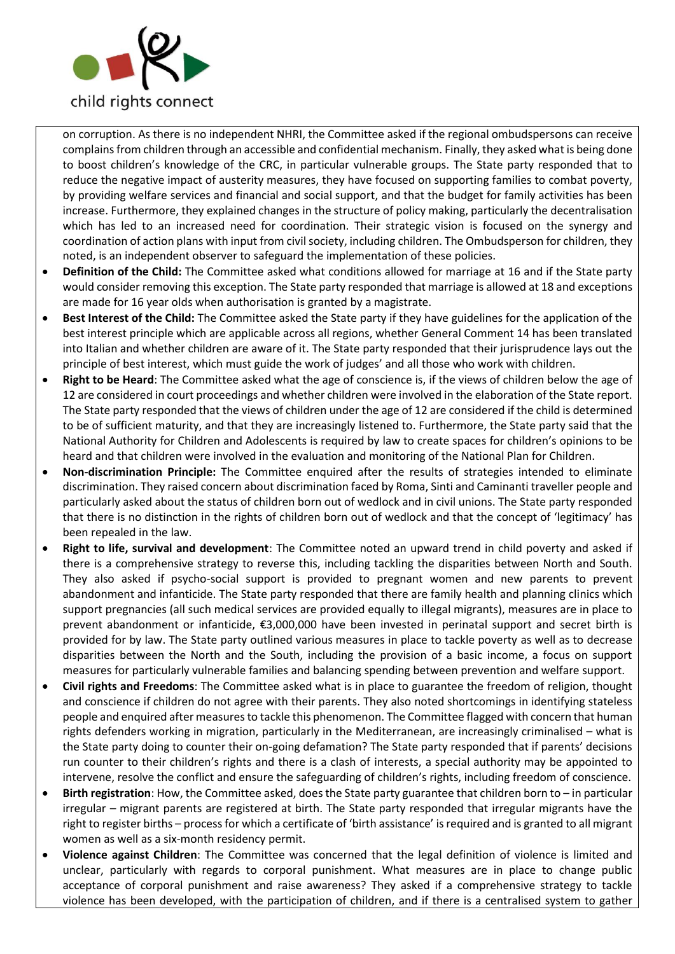

on corruption. As there is no independent NHRI, the Committee asked if the regional ombudspersons can receive complains from children through an accessible and confidential mechanism. Finally, they asked what is being done to boost children's knowledge of the CRC, in particular vulnerable groups. The State party responded that to reduce the negative impact of austerity measures, they have focused on supporting families to combat poverty, by providing welfare services and financial and social support, and that the budget for family activities has been increase. Furthermore, they explained changes in the structure of policy making, particularly the decentralisation which has led to an increased need for coordination. Their strategic vision is focused on the synergy and coordination of action plans with input from civil society, including children. The Ombudsperson for children, they noted, is an independent observer to safeguard the implementation of these policies.

- **Definition of the Child:** The Committee asked what conditions allowed for marriage at 16 and if the State party would consider removing this exception. The State party responded that marriage is allowed at 18 and exceptions are made for 16 year olds when authorisation is granted by a magistrate.
- **Best Interest of the Child:** The Committee asked the State party if they have guidelines for the application of the best interest principle which are applicable across all regions, whether General Comment 14 has been translated into Italian and whether children are aware of it. The State party responded that their jurisprudence lays out the principle of best interest, which must guide the work of judges' and all those who work with children.
- **Right to be Heard**: The Committee asked what the age of conscience is, if the views of children below the age of 12 are considered in court proceedings and whether children were involved in the elaboration of the State report. The State party responded that the views of children under the age of 12 are considered if the child is determined to be of sufficient maturity, and that they are increasingly listened to. Furthermore, the State party said that the National Authority for Children and Adolescents is required by law to create spaces for children's opinions to be heard and that children were involved in the evaluation and monitoring of the National Plan for Children.
- **Non-discrimination Principle:** The Committee enquired after the results of strategies intended to eliminate discrimination. They raised concern about discrimination faced by Roma, Sinti and Caminanti traveller people and particularly asked about the status of children born out of wedlock and in civil unions. The State party responded that there is no distinction in the rights of children born out of wedlock and that the concept of 'legitimacy' has been repealed in the law.
- **Right to life, survival and development**: The Committee noted an upward trend in child poverty and asked if there is a comprehensive strategy to reverse this, including tackling the disparities between North and South. They also asked if psycho-social support is provided to pregnant women and new parents to prevent abandonment and infanticide. The State party responded that there are family health and planning clinics which support pregnancies (all such medical services are provided equally to illegal migrants), measures are in place to prevent abandonment or infanticide, €3,000,000 have been invested in perinatal support and secret birth is provided for by law. The State party outlined various measures in place to tackle poverty as well as to decrease disparities between the North and the South, including the provision of a basic income, a focus on support measures for particularly vulnerable families and balancing spending between prevention and welfare support.
- **Civil rights and Freedoms**: The Committee asked what is in place to guarantee the freedom of religion, thought and conscience if children do not agree with their parents. They also noted shortcomings in identifying stateless people and enquired after measures to tackle this phenomenon. The Committee flagged with concern that human rights defenders working in migration, particularly in the Mediterranean, are increasingly criminalised – what is the State party doing to counter their on-going defamation? The State party responded that if parents' decisions run counter to their children's rights and there is a clash of interests, a special authority may be appointed to intervene, resolve the conflict and ensure the safeguarding of children's rights, including freedom of conscience.
- **Birth registration**: How, the Committee asked, does the State party guarantee that children born to in particular irregular – migrant parents are registered at birth. The State party responded that irregular migrants have the right to register births – process for which a certificate of 'birth assistance' is required and is granted to all migrant women as well as a six-month residency permit.
- **Violence against Children**: The Committee was concerned that the legal definition of violence is limited and unclear, particularly with regards to corporal punishment. What measures are in place to change public acceptance of corporal punishment and raise awareness? They asked if a comprehensive strategy to tackle violence has been developed, with the participation of children, and if there is a centralised system to gather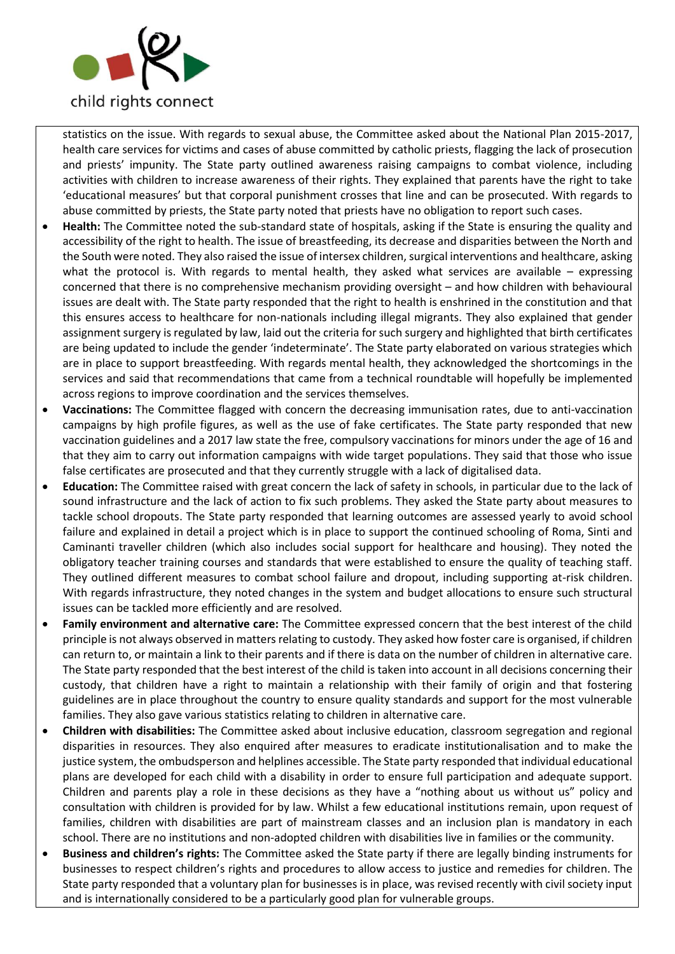

statistics on the issue. With regards to sexual abuse, the Committee asked about the National Plan 2015-2017, health care services for victims and cases of abuse committed by catholic priests, flagging the lack of prosecution and priests' impunity. The State party outlined awareness raising campaigns to combat violence, including activities with children to increase awareness of their rights. They explained that parents have the right to take 'educational measures' but that corporal punishment crosses that line and can be prosecuted. With regards to abuse committed by priests, the State party noted that priests have no obligation to report such cases.

- **Health:** The Committee noted the sub-standard state of hospitals, asking if the State is ensuring the quality and accessibility of the right to health. The issue of breastfeeding, its decrease and disparities between the North and the South were noted. They also raised the issue of intersex children, surgical interventions and healthcare, asking what the protocol is. With regards to mental health, they asked what services are available – expressing concerned that there is no comprehensive mechanism providing oversight – and how children with behavioural issues are dealt with. The State party responded that the right to health is enshrined in the constitution and that this ensures access to healthcare for non-nationals including illegal migrants. They also explained that gender assignment surgery is regulated by law, laid out the criteria for such surgery and highlighted that birth certificates are being updated to include the gender 'indeterminate'. The State party elaborated on various strategies which are in place to support breastfeeding. With regards mental health, they acknowledged the shortcomings in the services and said that recommendations that came from a technical roundtable will hopefully be implemented across regions to improve coordination and the services themselves.
- **Vaccinations:** The Committee flagged with concern the decreasing immunisation rates, due to anti-vaccination campaigns by high profile figures, as well as the use of fake certificates. The State party responded that new vaccination guidelines and a 2017 law state the free, compulsory vaccinations for minors under the age of 16 and that they aim to carry out information campaigns with wide target populations. They said that those who issue false certificates are prosecuted and that they currently struggle with a lack of digitalised data.
- **Education:** The Committee raised with great concern the lack of safety in schools, in particular due to the lack of sound infrastructure and the lack of action to fix such problems. They asked the State party about measures to tackle school dropouts. The State party responded that learning outcomes are assessed yearly to avoid school failure and explained in detail a project which is in place to support the continued schooling of Roma, Sinti and Caminanti traveller children (which also includes social support for healthcare and housing). They noted the obligatory teacher training courses and standards that were established to ensure the quality of teaching staff. They outlined different measures to combat school failure and dropout, including supporting at-risk children. With regards infrastructure, they noted changes in the system and budget allocations to ensure such structural issues can be tackled more efficiently and are resolved.
- **Family environment and alternative care:** The Committee expressed concern that the best interest of the child principle is not always observed in matters relating to custody. They asked how foster care is organised, if children can return to, or maintain a link to their parents and if there is data on the number of children in alternative care. The State party responded that the best interest of the child is taken into account in all decisions concerning their custody, that children have a right to maintain a relationship with their family of origin and that fostering guidelines are in place throughout the country to ensure quality standards and support for the most vulnerable families. They also gave various statistics relating to children in alternative care.
- **Children with disabilities:** The Committee asked about inclusive education, classroom segregation and regional disparities in resources. They also enquired after measures to eradicate institutionalisation and to make the justice system, the ombudsperson and helplines accessible. The State party responded that individual educational plans are developed for each child with a disability in order to ensure full participation and adequate support. Children and parents play a role in these decisions as they have a "nothing about us without us" policy and consultation with children is provided for by law. Whilst a few educational institutions remain, upon request of families, children with disabilities are part of mainstream classes and an inclusion plan is mandatory in each school. There are no institutions and non-adopted children with disabilities live in families or the community.
- **Business and children's rights:** The Committee asked the State party if there are legally binding instruments for businesses to respect children's rights and procedures to allow access to justice and remedies for children. The State party responded that a voluntary plan for businesses is in place, was revised recently with civil society input and is internationally considered to be a particularly good plan for vulnerable groups.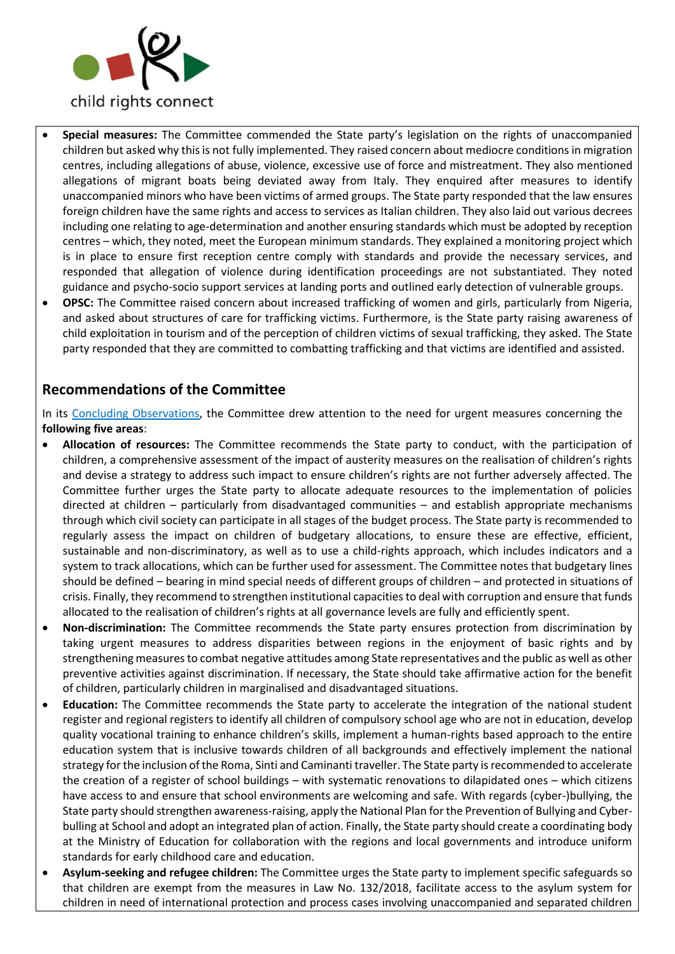

- **Special measures:** The Committee commended the State party's legislation on the rights of unaccompanied children but asked why this is not fully implemented. They raised concern about mediocre conditions in migration centres, including allegations of abuse, violence, excessive use of force and mistreatment. They also mentioned allegations of migrant boats being deviated away from Italy. They enquired after measures to identify unaccompanied minors who have been victims of armed groups. The State party responded that the law ensures foreign children have the same rights and access to services as Italian children. They also laid out various decrees including one relating to age-determination and another ensuring standards which must be adopted by reception centres – which, they noted, meet the European minimum standards. They explained a monitoring project which is in place to ensure first reception centre comply with standards and provide the necessary services, and responded that allegation of violence during identification proceedings are not substantiated. They noted guidance and psycho-socio support services at landing ports and outlined early detection of vulnerable groups.
- **OPSC:** The Committee raised concern about increased trafficking of women and girls, particularly from Nigeria, and asked about structures of care for trafficking victims. Furthermore, is the State party raising awareness of child exploitation in tourism and of the perception of children victims of sexual trafficking, they asked. The State party responded that they are committed to combatting trafficking and that victims are identified and assisted.

### **Recommendations of the Committee**

In its [Concluding Observations,](https://tbinternet.ohchr.org/_layouts/treatybodyexternal/Download.aspx?symbolno=CRC%2fC%2fITA%2fCO%2f5-6&Lang=en) the Committee drew attention to the need for urgent measures concerning the **following five areas**:

- **Allocation of resources:** The Committee recommends the State party to conduct, with the participation of children, a comprehensive assessment of the impact of austerity measures on the realisation of children's rights and devise a strategy to address such impact to ensure children's rights are not further adversely affected. The Committee further urges the State party to allocate adequate resources to the implementation of policies directed at children – particularly from disadvantaged communities – and establish appropriate mechanisms through which civil society can participate in all stages of the budget process. The State party is recommended to regularly assess the impact on children of budgetary allocations, to ensure these are effective, efficient, sustainable and non-discriminatory, as well as to use a child-rights approach, which includes indicators and a system to track allocations, which can be further used for assessment. The Committee notes that budgetary lines should be defined – bearing in mind special needs of different groups of children – and protected in situations of crisis. Finally, they recommend to strengthen institutional capacities to deal with corruption and ensure that funds allocated to the realisation of children's rights at all governance levels are fully and efficiently spent.
- **Non-discrimination:** The Committee recommends the State party ensures protection from discrimination by taking urgent measures to address disparities between regions in the enjoyment of basic rights and by strengthening measures to combat negative attitudes among State representatives and the public as well as other preventive activities against discrimination. If necessary, the State should take affirmative action for the benefit of children, particularly children in marginalised and disadvantaged situations.
- **Education:** The Committee recommends the State party to accelerate the integration of the national student register and regional registers to identify all children of compulsory school age who are not in education, develop quality vocational training to enhance children's skills, implement a human-rights based approach to the entire education system that is inclusive towards children of all backgrounds and effectively implement the national strategy for the inclusion of the Roma, Sinti and Caminanti traveller. The State party is recommended to accelerate the creation of a register of school buildings – with systematic renovations to dilapidated ones – which citizens have access to and ensure that school environments are welcoming and safe. With regards (cyber-)bullying, the State party should strengthen awareness-raising, apply the National Plan for the Prevention of Bullying and Cyberbulling at School and adopt an integrated plan of action. Finally, the State party should create a coordinating body at the Ministry of Education for collaboration with the regions and local governments and introduce uniform standards for early childhood care and education.
- **Asylum-seeking and refugee children:** The Committee urges the State party to implement specific safeguards so that children are exempt from the measures in Law No. 132/2018, facilitate access to the asylum system for children in need of international protection and process cases involving unaccompanied and separated children